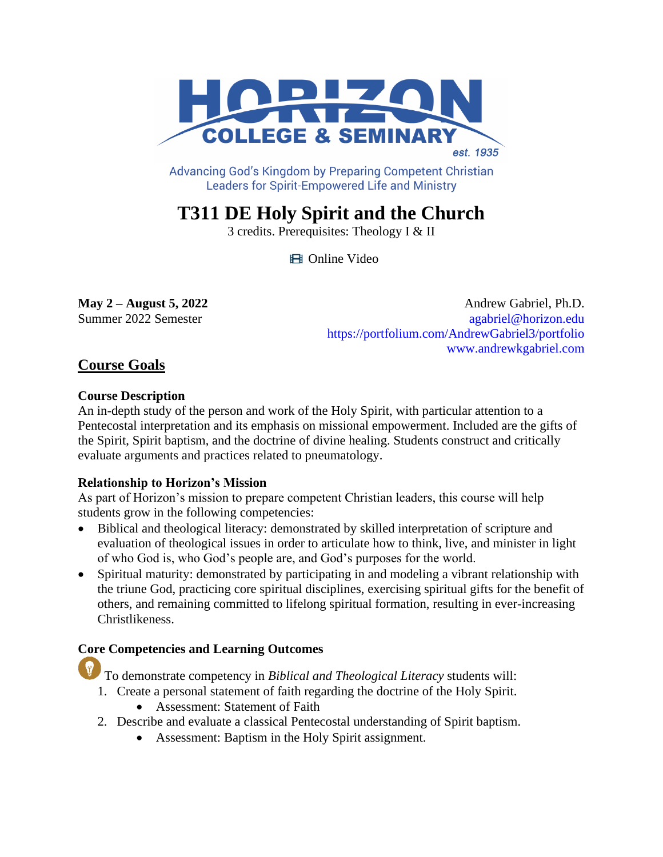

Advancing God's Kingdom by Preparing Competent Christian **Leaders for Spirit-Empowered Life and Ministry** 

# **T311 DE Holy Spirit and the Church**

3 credits. Prerequisites: Theology I & II

**El** Online Video

**May 2 – August 5, 2022** Andrew Gabriel, Ph.D. Summer 2022 Semester [agabriel@horizon.edu](mailto:agabriel@horizon.edu) <https://portfolium.com/AndrewGabriel3/portfolio> [www.andrewkgabriel.com](https://www.andrewkgabriel.com/welcome)

# **Course Goals**

# **Course Description**

An in-depth study of the person and work of the Holy Spirit, with particular attention to a Pentecostal interpretation and its emphasis on missional empowerment. Included are the gifts of the Spirit, Spirit baptism, and the doctrine of divine healing. Students construct and critically evaluate arguments and practices related to pneumatology.

# **Relationship to Horizon's Mission**

As part of Horizon's mission to prepare competent Christian leaders, this course will help students grow in the following competencies:

- Biblical and theological literacy: demonstrated by skilled interpretation of scripture and evaluation of theological issues in order to articulate how to think, live, and minister in light of who God is, who God's people are, and God's purposes for the world.
- Spiritual maturity: demonstrated by participating in and modeling a vibrant relationship with the triune God, practicing core spiritual disciplines, exercising spiritual gifts for the benefit of others, and remaining committed to lifelong spiritual formation, resulting in ever-increasing Christlikeness.

# **Core Competencies and Learning Outcomes**

To demonstrate competency in *Biblical and Theological Literacy* students will:

- 1. Create a personal statement of faith regarding the doctrine of the Holy Spirit.
	- Assessment: Statement of Faith
- 2. Describe and evaluate a classical Pentecostal understanding of Spirit baptism.
	- Assessment: Baptism in the Holy Spirit assignment.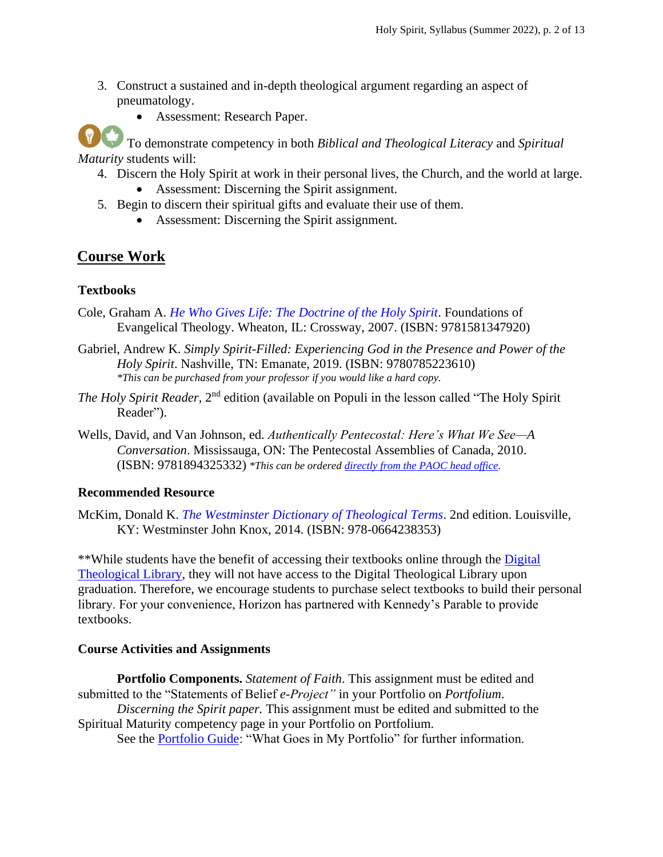3. Construct a sustained and in-depth theological argument regarding an aspect of pneumatology.



• Assessment: Research Paper.

To demonstrate competency in both *Biblical and Theological Literacy* and *Spiritual Maturity* students will:

- 4. Discern the Holy Spirit at work in their personal lives, the Church, and the world at large.
	- Assessment: Discerning the Spirit assignment.
- 5. Begin to discern their spiritual gifts and evaluate their use of them.
	- Assessment: Discerning the Spirit assignment.

# **Course Work**

# **Textbooks**

- Cole, Graham A. *[He Who Gives Life: The Doctrine of the Holy Spirit](http://books.google.ca/books?id=rU9Ulp4Jo_UC&lpg=PP1&dq=He%20Who%20Gives%20Life%3A%20The%20Doctrine&pg=PP1#v=onepage&q&f=false)*. Foundations of Evangelical Theology. Wheaton, IL: Crossway, 2007. (ISBN: 9781581347920)
- Gabriel, Andrew K. *Simply Spirit-Filled: Experiencing God in the Presence and Power of the Holy Spirit*. Nashville, TN: Emanate, 2019. (ISBN: 9780785223610) *\*This can be purchased from your professor if you would like a hard copy.*
- *The Holy Spirit Reader*, 2<sup>nd</sup> edition (available on Populi in the lesson called "The Holy Spirit" Reader").
- Wells, David, and Van Johnson, ed. *Authentically Pentecostal: Here's What We See—A Conversation*. Mississauga, ON: The Pentecostal Assemblies of Canada, 2010. (ISBN: 9781894325332) *\*This can be ordered [directly from the PAOC head office.](https://wordcom.paoc.org/products/paoc/books/authentically-pentecostal-gift-book)*

## **Recommended Resource**

McKim, Donald K. *[The Westminster Dictionary of Theological Terms](https://books.google.ca/books?id=BUaTAwAAQBAJ&lpg=PP1&dq=The%20Westminster%20Dictionary%20of%20Theological%20Terms&pg=PP1#v=onepage&q&f=false)*. 2nd edition. Louisville, KY: Westminster John Knox, 2014. (ISBN: 978-0664238353)

\*\*While students have the benefit of accessing their textbooks online through the [Digital](https://libguides.thedtl.org/home)  [Theological Library,](https://libguides.thedtl.org/home) they will not have access to the Digital Theological Library upon graduation. Therefore, we encourage students to purchase select textbooks to build their personal library. For your convenience, Horizon has partnered with Kennedy's Parable to provide textbooks.

## **Course Activities and Assignments**

**Portfolio Components.** *Statement of Faith*. This assignment must be edited and submitted to the "Statements of Belief *e-Project"* in your Portfolio on *Portfolium*. *Discerning the Spirit paper.* This assignment must be edited and submitted to the Spiritual Maturity competency page in your Portfolio on Portfolium.

See the [Portfolio Guide:](https://www.horizon.edu/wp-content/uploads/2019/09/Portfolio-Guide-September-2019.pdf) "What Goes in My Portfolio" for further information.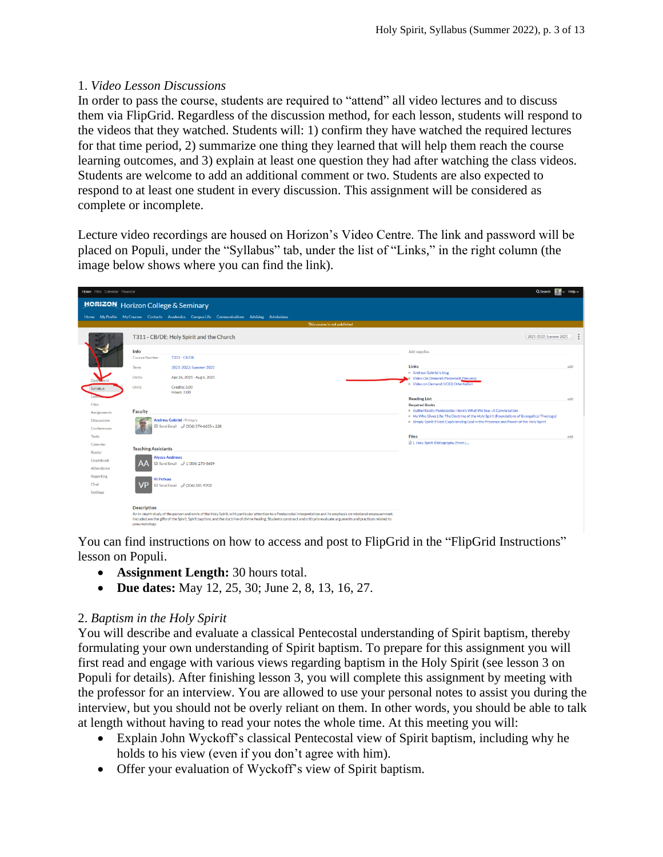# 1. *Video Lesson Discussions*

In order to pass the course, students are required to "attend" all video lectures and to discuss them via FlipGrid. Regardless of the discussion method, for each lesson, students will respond to the videos that they watched. Students will: 1) confirm they have watched the required lectures for that time period, 2) summarize one thing they learned that will help them reach the course learning outcomes, and 3) explain at least one question they had after watching the class videos. Students are welcome to add an additional comment or two. Students are also expected to respond to at least one student in every discussion. This assignment will be considered as complete or incomplete.

Lecture video recordings are housed on Horizon's Video Centre. The link and password will be placed on Populi, under the "Syllabus" tab, under the list of "Links," in the right column (the image below shows where you can find the link).

| Home Files Calendar Financial                             |                                                                                                                                                                                                                                                                                                                                                                                     | Q Search                                                                                                                                                                                                                                           | $Help \sim$ |
|-----------------------------------------------------------|-------------------------------------------------------------------------------------------------------------------------------------------------------------------------------------------------------------------------------------------------------------------------------------------------------------------------------------------------------------------------------------|----------------------------------------------------------------------------------------------------------------------------------------------------------------------------------------------------------------------------------------------------|-------------|
|                                                           | <b>HORIZON</b> Horizon College & Seminary                                                                                                                                                                                                                                                                                                                                           |                                                                                                                                                                                                                                                    |             |
|                                                           | Home My Profile My Courses Contacts Academics Campus Life Communications Advising Admissions                                                                                                                                                                                                                                                                                        |                                                                                                                                                                                                                                                    |             |
|                                                           | This course is not published                                                                                                                                                                                                                                                                                                                                                        |                                                                                                                                                                                                                                                    |             |
|                                                           | T311 - CB/DE: Holy Spirit and the Church                                                                                                                                                                                                                                                                                                                                            | 2021-2022: Summer 2021 0                                                                                                                                                                                                                           |             |
| Dash bard<br>Syllabus<br>Files                            | Info<br><b>Course Number</b><br>T311-CB/DE<br>Term<br>2021-2022: Summer 2021<br>Dates<br>Apr 26, 2021 - Aug 6, 2021<br>Units<br>Credits: 3.00<br><b>Hours: 3.00</b><br><b>Faculty</b>                                                                                                                                                                                               | Add supplies<br>Links<br>o Andrew Gabriel's blog<br>Co Video On Demand (Password: Pneuma)<br>o Video on Demand (VOD) Orientation<br><b>Reading List</b><br><b>Required Books</b><br>o Authentically Pentecostal: Here's What We See-A Conversation | add<br>add  |
| Assignments<br><b>Discussions</b><br>Conferences<br>Tests | <b>Andrew Gabriel - Primary</b><br>52 Send Email 2 (306) 374-6655 x 228                                                                                                                                                                                                                                                                                                             | o He Who Gives Life: The Doctrine of the Holy Spirit (Foundations of Evangelical Theology)<br>o Simply Spirit-Filled: Experiencing God in the Presence and Power of the Holy Spirit<br><b>Files</b>                                                | add         |
| Calendar<br>Roster<br>Gradebook<br>Attendance             | <b>Teaching Assistants</b><br><b>Alvssa Andrews</b><br>Send Email 2 1 (306) 270-5689                                                                                                                                                                                                                                                                                                | 1. Holy Spirit Bibliography (from L                                                                                                                                                                                                                |             |
| Reporting<br>Chat<br>Settings                             | <b>Vi Petkau</b><br>⊠ Send Email 2 (306) 381-9702                                                                                                                                                                                                                                                                                                                                   |                                                                                                                                                                                                                                                    |             |
|                                                           | <b>Description</b><br>An in-depth study of the person and work of the Holy Spirit, with particular attention to a Pentecostal interpretation and its emphasis on missional empowerment.<br>Included are the gifts of the Spirit, Spirit baptism, and the doctrine of divine healing. Students construct and critically evaluate arguments and practices related to<br>pneumatology. |                                                                                                                                                                                                                                                    |             |

You can find instructions on how to access and post to FlipGrid in the "FlipGrid Instructions" lesson on Populi.

- **Assignment Length:** 30 hours total.
- **Due dates:** May 12, 25, 30; June 2, 8, 13, 16, 27.

# 2. *Baptism in the Holy Spirit*

You will describe and evaluate a classical Pentecostal understanding of Spirit baptism, thereby formulating your own understanding of Spirit baptism. To prepare for this assignment you will first read and engage with various views regarding baptism in the Holy Spirit (see lesson 3 on Populi for details). After finishing lesson 3, you will complete this assignment by meeting with the professor for an interview. You are allowed to use your personal notes to assist you during the interview, but you should not be overly reliant on them. In other words, you should be able to talk at length without having to read your notes the whole time. At this meeting you will:

- Explain John Wyckoff's classical Pentecostal view of Spirit baptism, including why he holds to his view (even if you don't agree with him).
- Offer your evaluation of Wyckoff's view of Spirit baptism.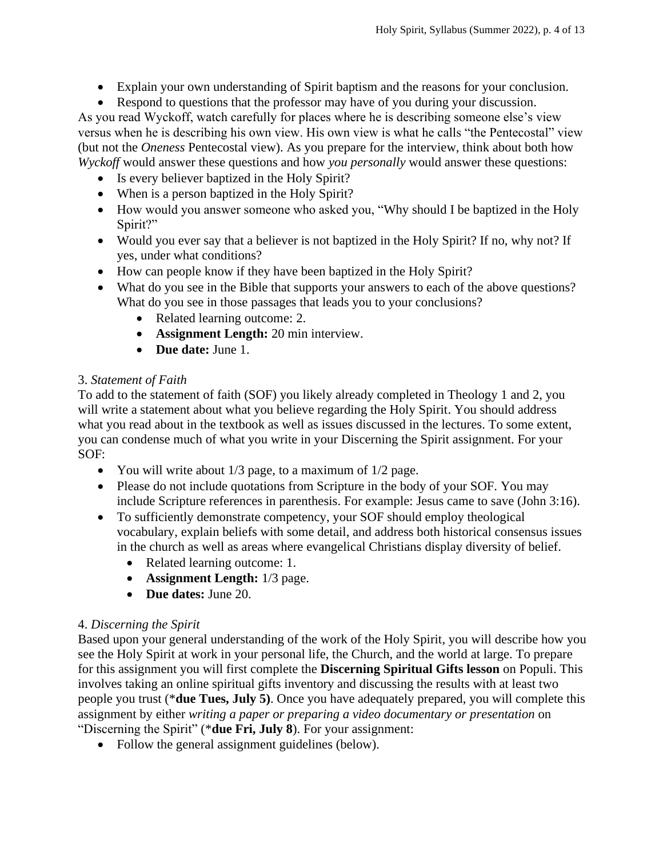- Explain your own understanding of Spirit baptism and the reasons for your conclusion.
- Respond to questions that the professor may have of you during your discussion.

As you read Wyckoff, watch carefully for places where he is describing someone else's view versus when he is describing his own view. His own view is what he calls "the Pentecostal" view (but not the *Oneness* Pentecostal view). As you prepare for the interview, think about both how *Wyckoff* would answer these questions and how *you personally* would answer these questions:

- Is every believer baptized in the Holy Spirit?
- When is a person baptized in the Holy Spirit?
- How would you answer someone who asked you, "Why should I be baptized in the Holy Spirit?"
- Would you ever say that a believer is not baptized in the Holy Spirit? If no, why not? If yes, under what conditions?
- How can people know if they have been baptized in the Holy Spirit?
- What do you see in the Bible that supports your answers to each of the above questions? What do you see in those passages that leads you to your conclusions?
	- Related learning outcome: 2.
	- **Assignment Length:** 20 min interview.
	- **Due date:** June 1.

# 3. *Statement of Faith*

To add to the statement of faith (SOF) you likely already completed in Theology 1 and 2, you will write a statement about what you believe regarding the Holy Spirit. You should address what you read about in the textbook as well as issues discussed in the lectures. To some extent, you can condense much of what you write in your Discerning the Spirit assignment. For your SOF:

- You will write about 1/3 page, to a maximum of 1/2 page.
- Please do not include quotations from Scripture in the body of your SOF. You may include Scripture references in parenthesis. For example: Jesus came to save (John 3:16).
- To sufficiently demonstrate competency, your SOF should employ theological vocabulary, explain beliefs with some detail, and address both historical consensus issues in the church as well as areas where evangelical Christians display diversity of belief.
	- Related learning outcome: 1.
	- **Assignment Length:** 1/3 page.
	- **Due dates:** June 20.

# 4. *Discerning the Spirit*

Based upon your general understanding of the work of the Holy Spirit, you will describe how you see the Holy Spirit at work in your personal life, the Church, and the world at large. To prepare for this assignment you will first complete the **Discerning Spiritual Gifts lesson** on Populi. This involves taking an online spiritual gifts inventory and discussing the results with at least two people you trust (\***due Tues, July 5)**. Once you have adequately prepared, you will complete this assignment by either *writing a paper or preparing a video documentary or presentation* on "Discerning the Spirit" (\***due Fri, July 8**). For your assignment:

• Follow the general assignment guidelines (below).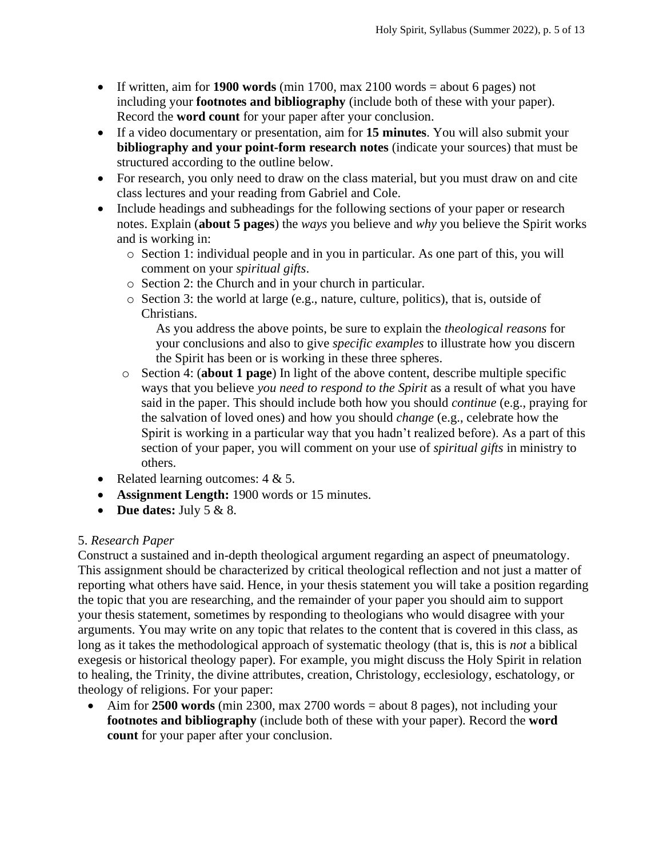- If written, aim for **1900 words** (min 1700, max 2100 words = about 6 pages) not including your **footnotes and bibliography** (include both of these with your paper). Record the **word count** for your paper after your conclusion.
- If a video documentary or presentation, aim for **15 minutes**. You will also submit your **bibliography and your point-form research notes** (indicate your sources) that must be structured according to the outline below.
- For research, you only need to draw on the class material, but you must draw on and cite class lectures and your reading from Gabriel and Cole.
- Include headings and subheadings for the following sections of your paper or research notes. Explain (**about 5 pages**) the *ways* you believe and *why* you believe the Spirit works and is working in:
	- o Section 1: individual people and in you in particular. As one part of this, you will comment on your *spiritual gifts*.
	- o Section 2: the Church and in your church in particular.
	- o Section 3: the world at large (e.g., nature, culture, politics), that is, outside of Christians.

As you address the above points, be sure to explain the *theological reasons* for your conclusions and also to give *specific examples* to illustrate how you discern the Spirit has been or is working in these three spheres.

- o Section 4: (**about 1 page**) In light of the above content, describe multiple specific ways that you believe *you need to respond to the Spirit* as a result of what you have said in the paper. This should include both how you should *continue* (e.g., praying for the salvation of loved ones) and how you should *change* (e.g., celebrate how the Spirit is working in a particular way that you hadn't realized before). As a part of this section of your paper, you will comment on your use of *spiritual gifts* in ministry to others.
- Related learning outcomes:  $4 \& 5$ .
- **Assignment Length:** 1900 words or 15 minutes.
- **Due dates:** July 5 & 8.

## 5. *Research Paper*

Construct a sustained and in-depth theological argument regarding an aspect of pneumatology. This assignment should be characterized by critical theological reflection and not just a matter of reporting what others have said. Hence, in your thesis statement you will take a position regarding the topic that you are researching, and the remainder of your paper you should aim to support your thesis statement, sometimes by responding to theologians who would disagree with your arguments. You may write on any topic that relates to the content that is covered in this class, as long as it takes the methodological approach of systematic theology (that is, this is *not* a biblical exegesis or historical theology paper). For example, you might discuss the Holy Spirit in relation to healing, the Trinity, the divine attributes, creation, Christology, ecclesiology, eschatology, or theology of religions. For your paper:

• Aim for **2500 words** (min 2300, max 2700 words = about 8 pages), not including your **footnotes and bibliography** (include both of these with your paper). Record the **word count** for your paper after your conclusion.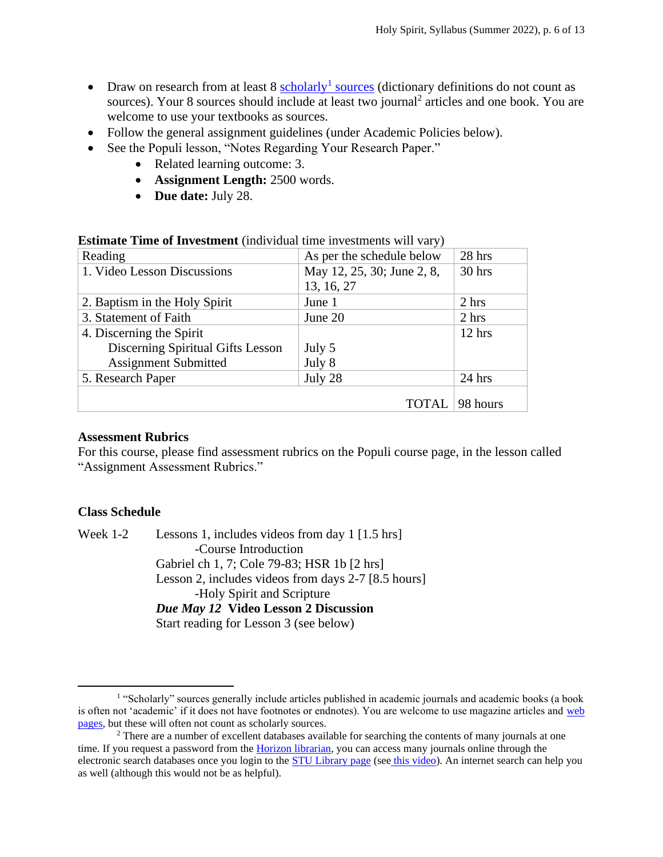- Draw on research from at least 8 [scholarly](http://www.uvic.ca/library/research/tips/scholvpop/index.php)<sup>1</sup> sources (dictionary definitions do not count as sources). Your 8 sources should include at least two journal<sup>2</sup> articles and one book. You are welcome to use your textbooks as sources.
- Follow the general assignment guidelines (under Academic Policies below).
- See the Populi lesson, "Notes Regarding Your Research Paper."
	- Related learning outcome: 3.
	- **Assignment Length:** 2500 words.
	- **Due date:** July 28.

| <b>EDUMINUM THIS OF INVESTIGATE (THEIVIGHT CHILD THY COUNTING WILL VELT)</b> |                            |          |  |  |  |
|------------------------------------------------------------------------------|----------------------------|----------|--|--|--|
| Reading                                                                      | As per the schedule below  | 28 hrs   |  |  |  |
| 1. Video Lesson Discussions                                                  | May 12, 25, 30; June 2, 8, | 30 hrs   |  |  |  |
|                                                                              | 13, 16, 27                 |          |  |  |  |
| 2. Baptism in the Holy Spirit                                                | June 1                     | 2 hrs    |  |  |  |
| 3. Statement of Faith                                                        | June 20                    | 2 hrs    |  |  |  |
| 4. Discerning the Spirit                                                     |                            | $12$ hrs |  |  |  |
| Discerning Spiritual Gifts Lesson                                            | July 5                     |          |  |  |  |
| <b>Assignment Submitted</b>                                                  | July 8                     |          |  |  |  |
| 5. Research Paper                                                            | July 28                    | $24$ hrs |  |  |  |
|                                                                              |                            |          |  |  |  |
|                                                                              | <b>TOTAL</b>               | 98 hours |  |  |  |

**Estimate Time of Investment** (individual time investments will vary)

#### **Assessment Rubrics**

For this course, please find assessment rubrics on the Populi course page, in the lesson called "Assignment Assessment Rubrics."

#### **Class Schedule**

Week 1-2 Lessons 1, includes videos from day 1 [1.5 hrs] -Course Introduction Gabriel ch 1, 7; Cole 79-83; HSR 1b [2 hrs] Lesson 2, includes videos from days 2-7 [8.5 hours] -Holy Spirit and Scripture *Due May 12* **Video Lesson 2 Discussion** Start reading for Lesson 3 (see below)

<sup>&</sup>lt;sup>1</sup> "Scholarly" sources generally include articles published in academic journals and academic books (a book is often not 'academic' if it does not have footnotes or endnotes). You are welcome to use magazine articles and [web](http://guides.theology.library.emory.edu/content.php?pid=67343&sid=497415)  [pages,](http://guides.theology.library.emory.edu/content.php?pid=67343&sid=497415) but these will often not count as scholarly sources.

<sup>&</sup>lt;sup>2</sup> There are a number of excellent databases available for searching the contents of many journals at one time. If you request a password from th[e Horizon librarian,](mailto:library@horizon.edu) you can access many journals online through the electronic search databases once you login to the **STU Library page** (see [this video\)](https://www.screencast.com/t/iwUgFY8wGy). An internet search can help you as well (although this would not be as helpful).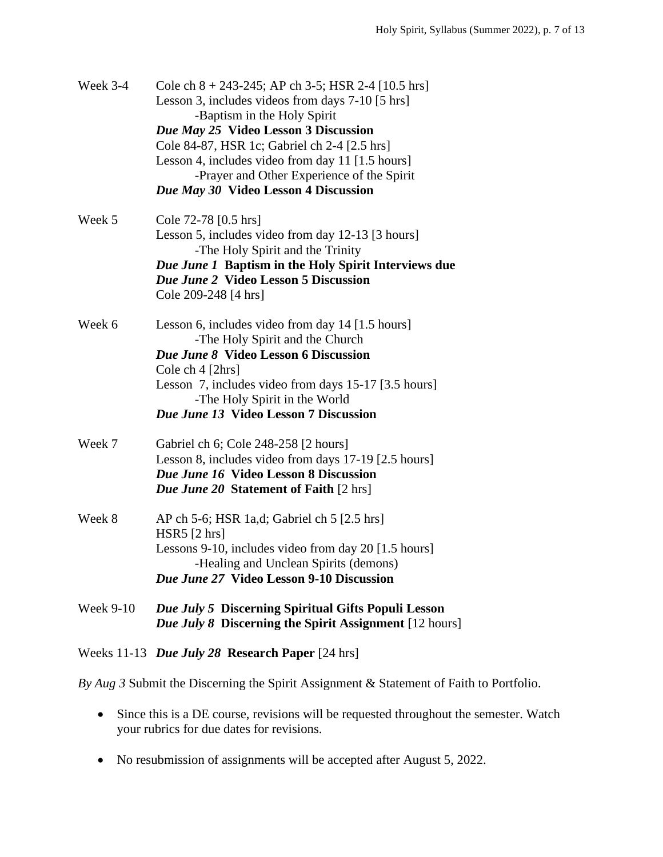| <b>Week 9-10</b> | Due July 5 Discerning Spiritual Gifts Populi Lesson<br>Due July 8 Discerning the Spirit Assignment [12 hours]                                                                                                                                                                                                                                                                |
|------------------|------------------------------------------------------------------------------------------------------------------------------------------------------------------------------------------------------------------------------------------------------------------------------------------------------------------------------------------------------------------------------|
| Week 8           | AP ch 5-6; HSR 1a,d; Gabriel ch 5 [2.5 hrs]<br>$HSR5$ [2 hrs]<br>Lessons 9-10, includes video from day 20 [1.5 hours]<br>-Healing and Unclean Spirits (demons)<br>Due June 27 Video Lesson 9-10 Discussion                                                                                                                                                                   |
| Week 7           | Gabriel ch 6; Cole 248-258 [2 hours]<br>Lesson 8, includes video from days 17-19 [2.5 hours]<br>Due June 16 Video Lesson 8 Discussion<br><b>Due June 20 Statement of Faith</b> [2 hrs]                                                                                                                                                                                       |
| Week 6           | Lesson 6, includes video from day 14 [1.5 hours]<br>-The Holy Spirit and the Church<br><b>Due June 8 Video Lesson 6 Discussion</b><br>Cole ch 4 [2hrs]<br>Lesson 7, includes video from days 15-17 [3.5 hours]<br>-The Holy Spirit in the World<br><b>Due June 13 Video Lesson 7 Discussion</b>                                                                              |
| Week 5           | Cole 72-78 [0.5 hrs]<br>Lesson 5, includes video from day 12-13 [3 hours]<br>-The Holy Spirit and the Trinity<br>Due June 1 Baptism in the Holy Spirit Interviews due<br><b>Due June 2 Video Lesson 5 Discussion</b><br>Cole 209-248 [4 hrs]                                                                                                                                 |
| Week 3-4         | Cole ch $8 + 243 - 245$ ; AP ch 3-5; HSR 2-4 [10.5 hrs]<br>Lesson 3, includes videos from days 7-10 [5 hrs]<br>-Baptism in the Holy Spirit<br>Due May 25 Video Lesson 3 Discussion<br>Cole 84-87, HSR 1c; Gabriel ch 2-4 [2.5 hrs]<br>Lesson 4, includes video from day 11 [1.5 hours]<br>-Prayer and Other Experience of the Spirit<br>Due May 30 Video Lesson 4 Discussion |

Weeks 11-13 *Due July 28* **Research Paper** [24 hrs]

*By Aug 3* Submit the Discerning the Spirit Assignment & Statement of Faith to Portfolio.

- Since this is a DE course, revisions will be requested throughout the semester. Watch your rubrics for due dates for revisions.
- No resubmission of assignments will be accepted after August 5, 2022.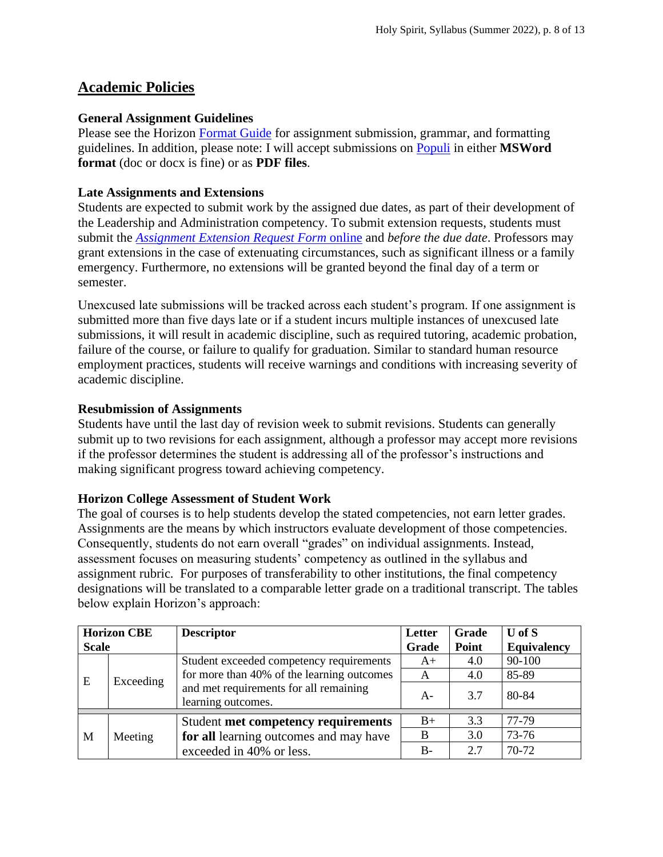# **Academic Policies**

# **General Assignment Guidelines**

Please see the Horizon [Format Guide](https://www.horizon.edu/students/resources/) for assignment submission, grammar, and formatting guidelines. In addition, please note: I will accept submissions on [Populi](https://horizon.populiweb.com/) in either **MSWord format** (doc or docx is fine) or as **PDF files**.

# **Late Assignments and Extensions**

Students are expected to submit work by the assigned due dates, as part of their development of the Leadership and Administration competency. To submit extension requests, students must submit the *[Assignment Extension Request Form](https://horizon.edu/forms/student/)* online and *before the due date*. Professors may grant extensions in the case of extenuating circumstances, such as significant illness or a family emergency. Furthermore, no extensions will be granted beyond the final day of a term or semester.

Unexcused late submissions will be tracked across each student's program. If one assignment is submitted more than five days late or if a student incurs multiple instances of unexcused late submissions, it will result in academic discipline, such as required tutoring, academic probation, failure of the course, or failure to qualify for graduation. Similar to standard human resource employment practices, students will receive warnings and conditions with increasing severity of academic discipline.

# **Resubmission of Assignments**

Students have until the last day of revision week to submit revisions. Students can generally submit up to two revisions for each assignment, although a professor may accept more revisions if the professor determines the student is addressing all of the professor's instructions and making significant progress toward achieving competency.

## **Horizon College Assessment of Student Work**

The goal of courses is to help students develop the stated competencies, not earn letter grades. Assignments are the means by which instructors evaluate development of those competencies. Consequently, students do not earn overall "grades" on individual assignments. Instead, assessment focuses on measuring students' competency as outlined in the syllabus and assignment rubric. For purposes of transferability to other institutions, the final competency designations will be translated to a comparable letter grade on a traditional transcript. The tables below explain Horizon's approach:

| <b>Horizon CBE</b><br><b>Scale</b> |           | <b>Descriptor</b>                                                                                          | Letter<br>Grade | Grade<br>Point | $U$ of $S$<br><b>Equivalency</b> |
|------------------------------------|-----------|------------------------------------------------------------------------------------------------------------|-----------------|----------------|----------------------------------|
|                                    | Exceeding | Student exceeded competency requirements                                                                   | $A+$            | 4.0            | 90-100                           |
| E                                  |           | for more than 40% of the learning outcomes<br>and met requirements for all remaining<br>learning outcomes. | A               | 4.0            | 85-89                            |
|                                    |           |                                                                                                            | $A -$           | 3.7            | 80-84                            |
| M                                  | Meeting   | Student met competency requirements                                                                        | $B+$            | 3.3            | 77-79                            |
|                                    |           | for all learning outcomes and may have                                                                     | B               | 3.0            | 73-76                            |
|                                    |           | exceeded in 40% or less.                                                                                   | $B -$           | 2.7            | 70-72                            |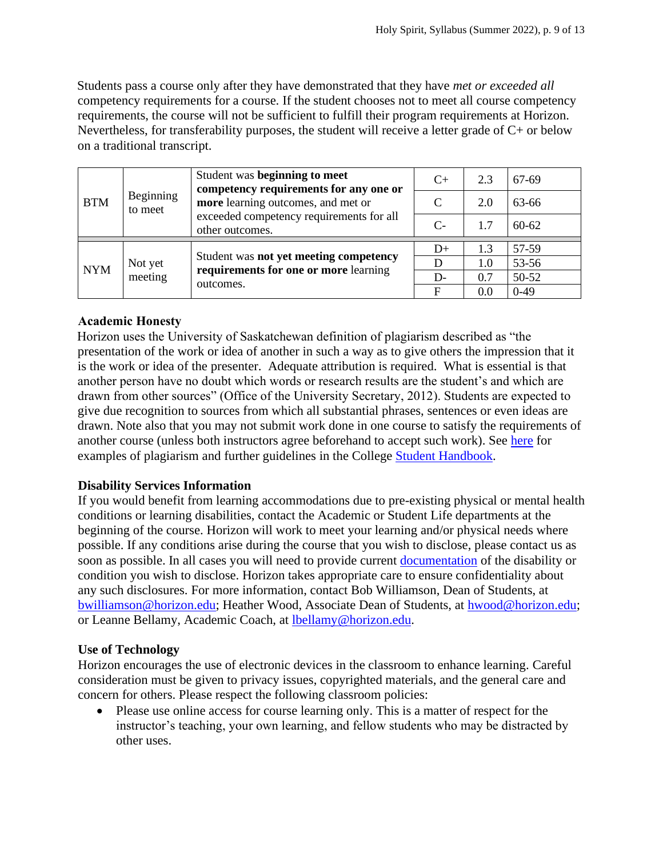Students pass a course only after they have demonstrated that they have *met or exceeded all*  competency requirements for a course. If the student chooses not to meet all course competency requirements, the course will not be sufficient to fulfill their program requirements at Horizon. Nevertheless, for transferability purposes, the student will receive a letter grade of C+ or below on a traditional transcript.

| <b>BTM</b> | Beginning<br>to meet | Student was beginning to meet<br>competency requirements for any one or                           | $C+$ | 2.3 | 67-69     |
|------------|----------------------|---------------------------------------------------------------------------------------------------|------|-----|-----------|
|            |                      | more learning outcomes, and met or<br>exceeded competency requirements for all<br>other outcomes. | C    | 2.0 | 63-66     |
|            |                      |                                                                                                   | $C-$ | 1.7 | $60 - 62$ |
| <b>NYM</b> | Not yet<br>meeting   | Student was not yet meeting competency<br>requirements for one or more learning<br>outcomes.      | $D+$ | 1.3 | 57-59     |
|            |                      |                                                                                                   |      | 1.0 | 53-56     |
|            |                      |                                                                                                   | $D-$ | 0.7 | 50-52     |
|            |                      |                                                                                                   | F    | 0.0 | $0-49$    |

# **Academic Honesty**

Horizon uses the University of Saskatchewan definition of plagiarism described as "the presentation of the work or idea of another in such a way as to give others the impression that it is the work or idea of the presenter. Adequate attribution is required. What is essential is that another person have no doubt which words or research results are the student's and which are drawn from other sources" (Office of the University Secretary, 2012). Students are expected to give due recognition to sources from which all substantial phrases, sentences or even ideas are drawn. Note also that you may not submit work done in one course to satisfy the requirements of another course (unless both instructors agree beforehand to accept such work). See [here](http://www.turnitin.com/assets/en_us/media/plagiarism_spectrum.php) for examples of plagiarism and further guidelines in the College [Student Handbook.](https://www.horizon.edu/students/resources/)

# **Disability Services Information**

If you would benefit from learning accommodations due to pre-existing physical or mental health conditions or learning disabilities, contact the Academic or Student Life departments at the beginning of the course. Horizon will work to meet your learning and/or physical needs where possible. If any conditions arise during the course that you wish to disclose, please contact us as soon as possible. In all cases you will need to provide current [documentation](https://www.horizon.edu/students/support/) of the disability or condition you wish to disclose. Horizon takes appropriate care to ensure confidentiality about any such disclosures. For more information, contact Bob Williamson, Dean of Students, at [bwilliamson@horizon.edu;](mailto:bwilliamson@horizon.edu) Heather Wood, Associate Dean of Students, at [hwood@horizon.edu;](mailto:hwood@horizon.edu) or Leanne Bellamy, Academic Coach, at [lbellamy@horizon.edu.](mailto:lbellamy@horizon.edu)

# **Use of Technology**

Horizon encourages the use of electronic devices in the classroom to enhance learning. Careful consideration must be given to privacy issues, copyrighted materials, and the general care and concern for others. Please respect the following classroom policies:

• Please use online access for course learning only. This is a matter of respect for the instructor's teaching, your own learning, and fellow students who may be distracted by other uses.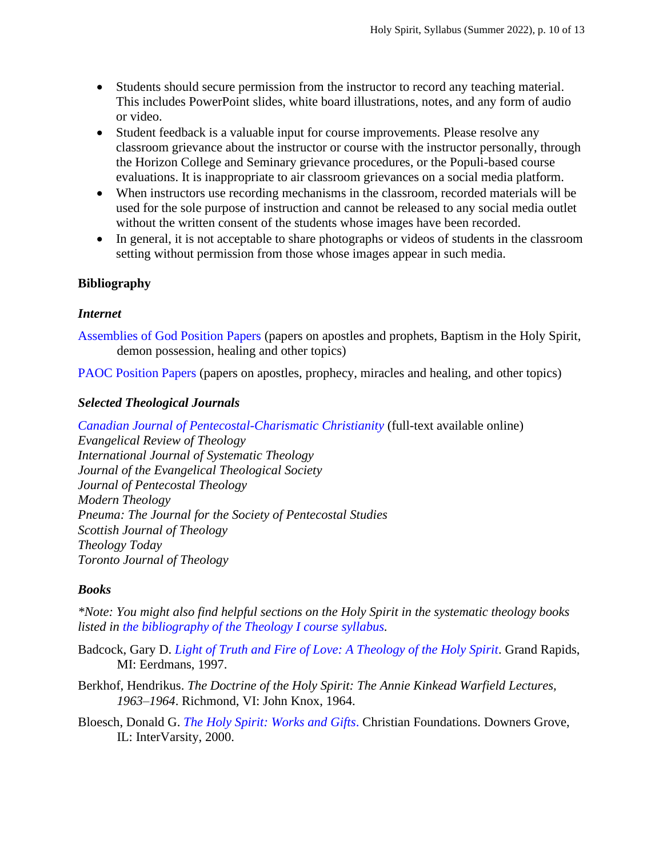- Students should secure permission from the instructor to record any teaching material. This includes PowerPoint slides, white board illustrations, notes, and any form of audio or video.
- Student feedback is a valuable input for course improvements. Please resolve any classroom grievance about the instructor or course with the instructor personally, through the Horizon College and Seminary grievance procedures, or the Populi-based course evaluations. It is inappropriate to air classroom grievances on a social media platform.
- When instructors use recording mechanisms in the classroom, recorded materials will be used for the sole purpose of instruction and cannot be released to any social media outlet without the written consent of the students whose images have been recorded.
- In general, it is not acceptable to share photographs or videos of students in the classroom setting without permission from those whose images appear in such media.

# **Bibliography**

## *Internet*

[Assemblies of God Position Papers](https://ag.org/Beliefs/Position-Papers) (papers on apostles and prophets, Baptism in the Holy Spirit, demon possession, healing and other topics)

[PAOC Position Papers \(](https://paoc.org/church-toolbox/church-resource-documents/position-papers)papers on apostles, prophecy, miracles and healing, and other topics)

## *Selected Theological Journals*

*[Canadian Journal of Pentecostal-Charismatic Christianity](https://journal.twu.ca/index.php/CJPC/index)* (full-text available online) *Evangelical Review of Theology International Journal of Systematic Theology Journal of the Evangelical Theological Society Journal of Pentecostal Theology Modern Theology Pneuma: The Journal for the Society of Pentecostal Studies Scottish Journal of Theology Theology Today Toronto Journal of Theology*

## *Books*

*\*Note: You might also find helpful sections on the Holy Spirit in the systematic theology books listed in [the bibliography of the Theology I course syllabus.](https://www.horizon.edu/college/courses/)*

Badcock, Gary D. *[Light of Truth and Fire of Love: A Theology of the Holy Spirit](http://books.google.ca/books?id=qnDyjaXPwooC&lpg=PP1&dq=Light%20of%20Truth%20and%20Fire%20of%20Love&pg=PP1#v=onepage&q&f=false)*. Grand Rapids, MI: Eerdmans, 1997.

- Berkhof, Hendrikus. *The Doctrine of the Holy Spirit: The Annie Kinkead Warfield Lectures, 1963–1964*. Richmond, VI: John Knox, 1964.
- Bloesch, Donald G. *[The Holy Spirit: Works and Gifts](http://books.google.ca/books?id=wYuHuNys-x8C&lpg=PP1&dq=The%20Holy%20Spirit%3A%20Works%20and%20Gifts.&pg=PP1#v=onepage&q&f=false)*. Christian Foundations. Downers Grove, IL: InterVarsity, 2000.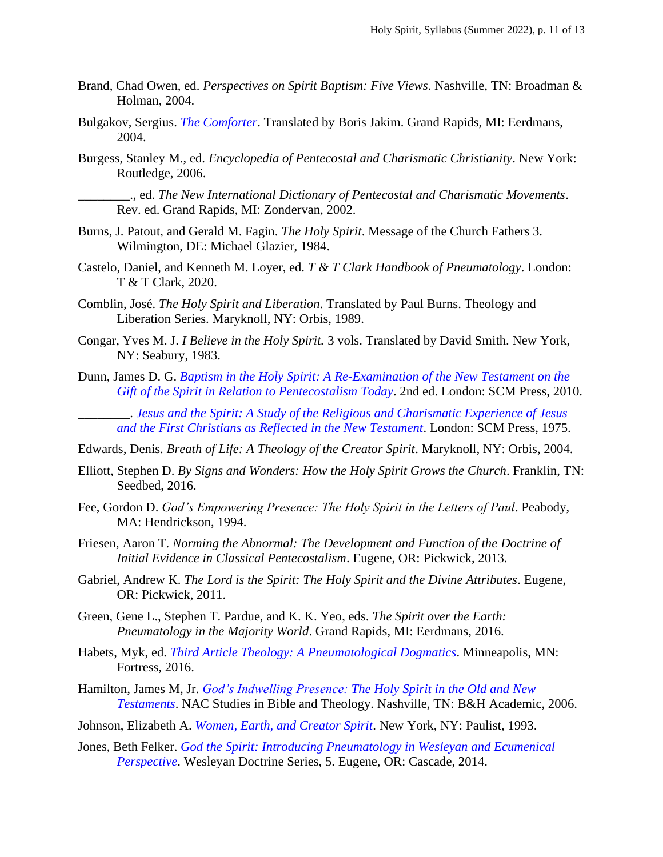- Brand, Chad Owen, ed. *Perspectives on Spirit Baptism: Five Views*. Nashville, TN: Broadman & Holman, 2004.
- Bulgakov, Sergius. *[The Comforter](http://books.google.ca/books?id=VX6-DWe9AhUC&lpg=PP1&dq=The%20Comforter&pg=PP1#v=onepage&q&f=false)*. Translated by Boris Jakim. Grand Rapids, MI: Eerdmans, 2004.
- Burgess, Stanley M., ed. *Encyclopedia of Pentecostal and Charismatic Christianity*. New York: Routledge, 2006.

\_\_\_\_\_\_\_\_., ed. *The New International Dictionary of Pentecostal and Charismatic Movements*. Rev. ed. Grand Rapids, MI: Zondervan, 2002.

- Burns, J. Patout, and Gerald M. Fagin. *The Holy Spirit*. Message of the Church Fathers 3. Wilmington, DE: Michael Glazier, 1984.
- Castelo, Daniel, and Kenneth M. Loyer, ed. *T & T Clark Handbook of Pneumatology*. London: T & T Clark, 2020.
- Comblin, José. *The Holy Spirit and Liberation*. Translated by Paul Burns. Theology and Liberation Series. Maryknoll, NY: Orbis, 1989.
- Congar, Yves M. J. *I Believe in the Holy Spirit.* 3 vols. Translated by David Smith. New York, NY: Seabury, 1983.
- Dunn, James D. G. *[Baptism in the Holy Spirit: A Re-Examination of the New Testament on the](http://books.google.ca/books?id=5ZH8jRqC5OkC&lpg=PP1&dq=Dunn%2C%20James%20D.%20G.%20Baptism%20in%20the%20Holy%20Spirit&pg=PP1#v=onepage&q&f=false)  [Gift of the Spirit in Relation to Pentecostalism Today](http://books.google.ca/books?id=5ZH8jRqC5OkC&lpg=PP1&dq=Dunn%2C%20James%20D.%20G.%20Baptism%20in%20the%20Holy%20Spirit&pg=PP1#v=onepage&q&f=false)*. 2nd ed. London: SCM Press, 2010.

\_\_\_\_\_\_\_\_. *[Jesus and the Spirit: A Study of the Religious and Charismatic Experience of Jesus](http://books.google.ca/books?id=CEkyo7Wb7hgC&lpg=PP1&dq=Jesus%20and%20the%20Spirit%3A%20A%20Study%20of%20the%20Religious&pg=PP1#v=onepage&q&f=false)  [and the First Christians as Reflected in the New Testament](http://books.google.ca/books?id=CEkyo7Wb7hgC&lpg=PP1&dq=Jesus%20and%20the%20Spirit%3A%20A%20Study%20of%20the%20Religious&pg=PP1#v=onepage&q&f=false)*. London: SCM Press, 1975.

Edwards, Denis. *Breath of Life: A Theology of the Creator Spirit*. Maryknoll, NY: Orbis, 2004.

- Elliott, Stephen D. *By Signs and Wonders: How the Holy Spirit Grows the Church*. Franklin, TN: Seedbed, 2016.
- Fee, Gordon D. *God's Empowering Presence: The Holy Spirit in the Letters of Paul. Peabody*, MA: Hendrickson, 1994.
- Friesen, Aaron T. *Norming the Abnormal: The Development and Function of the Doctrine of Initial Evidence in Classical Pentecostalism*. Eugene, OR: Pickwick, 2013.
- Gabriel, Andrew K. *The Lord is the Spirit: The Holy Spirit and the Divine Attributes*. Eugene, OR: Pickwick, 2011.
- Green, Gene L., Stephen T. Pardue, and K. K. Yeo, eds. *The Spirit over the Earth: Pneumatology in the Majority World*. Grand Rapids, MI: Eerdmans, 2016.
- Habets, Myk, ed. *[Third Article Theology: A Pneumatological Dogmatics](https://books.google.ca/books?id=qVAKDQAAQBAJ&lpg=PR1&dq=Third%20Article%20Theology%3A%20A%20Pneumatological%20Dogmatics&pg=PR1#v=onepage&q&f=false)*. Minneapolis, MN: Fortress, 2016.
- Hamilton, James M, Jr. *[God's Indwelling Presence: The Holy Spirit in the Old and New](http://books.google.ca/books?id=F2Zej0MAEiMC&lpg=PP1&dq=God%E2%80%99s%20Indwelling%20Presence%3A%20The%20Holy%20Spirit&pg=PP1#v=onepage&q&f=false)  [Testaments](http://books.google.ca/books?id=F2Zej0MAEiMC&lpg=PP1&dq=God%E2%80%99s%20Indwelling%20Presence%3A%20The%20Holy%20Spirit&pg=PP1#v=onepage&q&f=false)*. NAC Studies in Bible and Theology. Nashville, TN: B&H Academic, 2006.
- Johnson, Elizabeth A. *[Women, Earth, and Creator Spirit](http://books.google.ca/books?id=beaqW1QHBw8C&lpg=PP1&dq=Women%2C%20Earth%2C%20and%20Creator%20Spirit&pg=PP1#v=onepage&q&f=false)*. New York, NY: Paulist, 1993.
- Jones, Beth Felker. *[God the Spirit: Introducing Pneumatology in Wesleyan and Ecumenical](https://books.google.ca/books?id=3jFTAwAAQBAJ&lpg=PT2&dq=God%20the%20Spirit%3A%20Introducing%20Pneumatology%20in%20Wesleyan%20and%20Ecumenical%20Perspective&pg=PP1#v=onepage&q&f=false)  [Perspective](https://books.google.ca/books?id=3jFTAwAAQBAJ&lpg=PT2&dq=God%20the%20Spirit%3A%20Introducing%20Pneumatology%20in%20Wesleyan%20and%20Ecumenical%20Perspective&pg=PP1#v=onepage&q&f=false)*. Wesleyan Doctrine Series, 5. Eugene, OR: Cascade, 2014.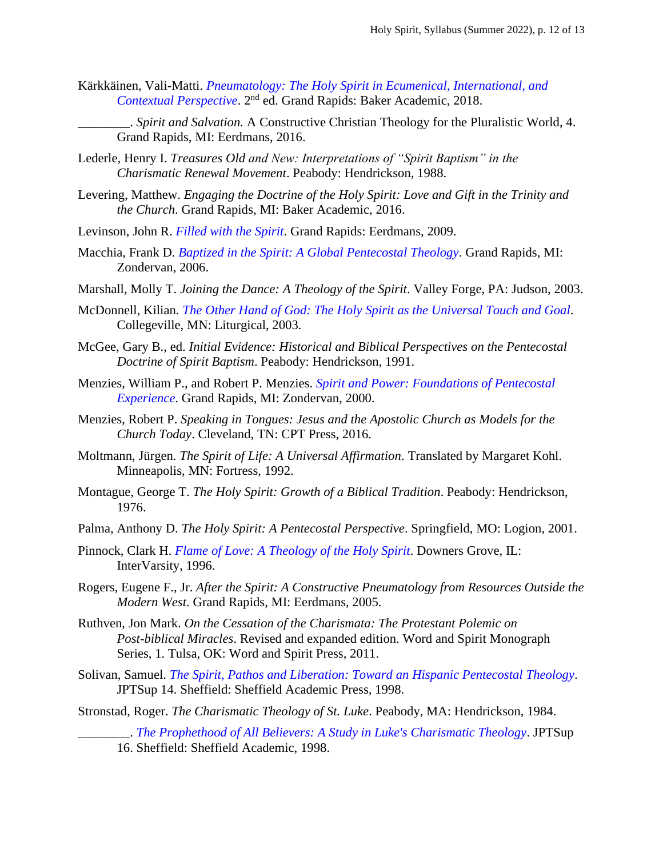- Kärkkäinen, Vali-Matti. *[Pneumatology: The Holy Spirit in Ecumenical, International, and](http://books.google.ca/books?id=XI6iB7Cry6AC&lpg=PA41&dq=K%C3%A4rkk%C3%A4inen%2C%20Vali-Matti.%20Pneumatology&pg=PP1#v=onepage&q&f=false)*  [Contextual Perspective](http://books.google.ca/books?id=XI6iB7Cry6AC&lpg=PA41&dq=K%C3%A4rkk%C3%A4inen%2C%20Vali-Matti.%20Pneumatology&pg=PP1#v=onepage&q&f=false). 2<sup>nd</sup> ed. Grand Rapids: Baker Academic, 2018.
	- \_\_\_\_\_\_\_\_. *Spirit and Salvation.* A Constructive Christian Theology for the Pluralistic World, 4. Grand Rapids, MI: Eerdmans, 2016.
- Lederle, Henry I. *Treasures Old and New: Interpretations of "Spirit Baptism" in the Charismatic Renewal Movement*. Peabody: Hendrickson, 1988.
- Levering, Matthew. *Engaging the Doctrine of the Holy Spirit: Love and Gift in the Trinity and the Church*. Grand Rapids, MI: Baker Academic, 2016.
- Levinson, John R. *[Filled with the Spirit](http://books.google.ca/books?id=MLD6yi3XbkUC&lpg=PP1&dq=Filled%20with%20the%20Spirit&pg=PP1#v=onepage&q&f=false)*. Grand Rapids: Eerdmans, 2009.
- Macchia, Frank D. *[Baptized in the Spirit: A Global Pentecostal Theology](http://books.google.ca/books?id=q1PCpMKmU0AC&lpg=PT30&dq=Spirit%20Baptism%3A%20A%20Pentecostal%20Alternative&pg=PP1#v=onepage&q&f=false)*. Grand Rapids, MI: Zondervan, 2006.
- Marshall, Molly T. *Joining the Dance: A Theology of the Spirit*. Valley Forge, PA: Judson, 2003.
- McDonnell, Kilian. *[The Other Hand of God: The Holy Spirit as the Universal Touch and Goal](http://books.google.ca/books?id=QRq36FLfby8C&lpg=PP1&dq=The%20Other%20Hand%20of%20God%3A%20The%20Holy%20Spirit%20as%20the%20Universal%20Touch%20and%20Goal&pg=PP1#v=onepage&q&f=false)*. Collegeville, MN: Liturgical, 2003.
- McGee, Gary B., ed. *Initial Evidence: Historical and Biblical Perspectives on the Pentecostal Doctrine of Spirit Baptism*. Peabody: Hendrickson, 1991.
- Menzies, William P., and Robert P. Menzies. *[Spirit and Power: Foundations of Pentecostal](http://books.google.ca/books?id=lWFV0XfBiQ4C&lpg=PP1&dq=Spirit%20and%20Power%3A%20Foundations%20of%20Pentecostal%20Experience&pg=PP1#v=onepage&q&f=false)  [Experience](http://books.google.ca/books?id=lWFV0XfBiQ4C&lpg=PP1&dq=Spirit%20and%20Power%3A%20Foundations%20of%20Pentecostal%20Experience&pg=PP1#v=onepage&q&f=false)*. Grand Rapids, MI: Zondervan, 2000.
- Menzies, Robert P. *Speaking in Tongues: Jesus and the Apostolic Church as Models for the Church Today*. Cleveland, TN: CPT Press, 2016.
- Moltmann, Jürgen. *The Spirit of Life: A Universal Affirmation*. Translated by Margaret Kohl. Minneapolis, MN: Fortress, 1992.
- Montague, George T. *The Holy Spirit: Growth of a Biblical Tradition*. Peabody: Hendrickson, 1976.
- Palma, Anthony D. *The Holy Spirit: A Pentecostal Perspective*. Springfield, MO: Logion, 2001.
- Pinnock, Clark H. *[Flame of Love: A Theology of the Holy Spirit](http://books.google.ca/books?id=TVrbrM-nicoC&lpg=PA3&dq=Flame%20of%20Love%3A%20A%20Theology%20of%20the%20Holy%20Spirit&pg=PA3#v=onepage&q&f=false)*. Downers Grove, IL: InterVarsity, 1996.
- Rogers, Eugene F., Jr. *After the Spirit: A Constructive Pneumatology from Resources Outside the Modern West*. Grand Rapids, MI: Eerdmans, 2005.
- Ruthven, Jon Mark. *On the Cessation of the Charismata: The Protestant Polemic on Post-biblical Miracles*. Revised and expanded edition. Word and Spirit Monograph Series, 1. Tulsa, OK: Word and Spirit Press, 2011.
- Solivan, Samuel. *The Spirit, Pathos [and Liberation: Toward an Hispanic](http://books.google.ca/books?id=uBrEfUwKoZsC&lpg=PP1&dq=The%20Spirit%2C%20Pathos%20and%20Liberation%3A%20Toward%20an%20Hispanic%20Pentecostal%20Theology&pg=PP1#v=onepage&q&f=false) Pentecostal Theology*. JPTSup 14. Sheffield: Sheffield Academic Press, 1998.
- Stronstad, Roger. *The Charismatic Theology of St. Luke*. Peabody, MA: Hendrickson, 1984.

\_\_\_\_\_\_\_\_. *[The Prophethood of All Believers: A Study in Luke's Charismatic Theology](http://books.google.ca/books?id=ql8FJnowON8C&lpg=PP1&dq=The%20Prophethood%20of%20All%20Believers&pg=PP1#v=onepage&q&f=false)*. JPTSup 16. Sheffield: Sheffield Academic, 1998.